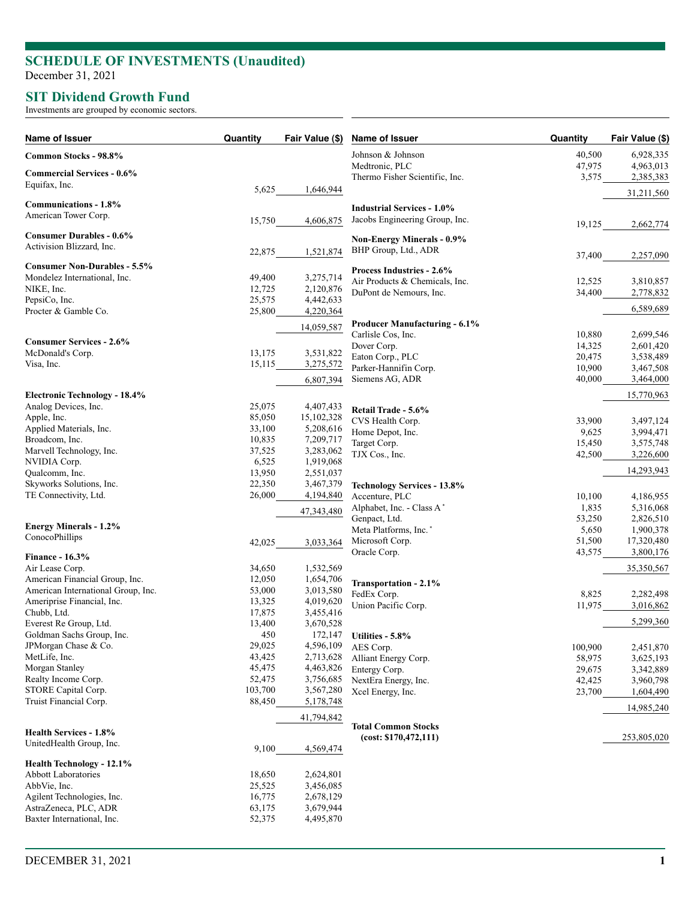## **SCHEDULE OF INVESTMENTS (Unaudited )**

December 31, 2021

## **SIT Dividend Growth Fund**

Investments are grouped by economic sectors.

| Name of Issuer                                                       | Quantity         | Fair Value (\$)        | Name of Issuer                                     | Quantity         | Fair Value (\$)        |
|----------------------------------------------------------------------|------------------|------------------------|----------------------------------------------------|------------------|------------------------|
| Common Stocks - 98.8%                                                |                  |                        | Johnson & Johnson<br>Medtronic, PLC                | 40,500<br>47,975 | 6,928,335<br>4,963,013 |
| <b>Commercial Services - 0.6%</b>                                    |                  |                        | Thermo Fisher Scientific, Inc.                     | 3,575            | 2,385,383              |
| Equifax, Inc.                                                        | 5,625            | 1,646,944              |                                                    |                  | 31,211,560             |
| Communications - 1.8%                                                |                  |                        | <b>Industrial Services - 1.0%</b>                  |                  |                        |
| American Tower Corp.                                                 | 15,750           | 4,606,875              | Jacobs Engineering Group, Inc.                     |                  |                        |
|                                                                      |                  |                        |                                                    | 19,125           | 2,662,774              |
| <b>Consumer Durables - 0.6%</b><br>Activision Blizzard, Inc.         |                  |                        | <b>Non-Energy Minerals - 0.9%</b>                  |                  |                        |
|                                                                      | 22,875           | 1,521,874              | BHP Group, Ltd., ADR                               | 37,400           | 2,257,090              |
| <b>Consumer Non-Durables - 5.5%</b>                                  |                  |                        | <b>Process Industries - 2.6%</b>                   |                  |                        |
| Mondelez International, Inc.                                         | 49,400           | 3,275,714              | Air Products & Chemicals, Inc.                     | 12,525           | 3,810,857              |
| NIKE, Inc.<br>PepsiCo, Inc.                                          | 12,725<br>25,575 | 2,120,876              | DuPont de Nemours, Inc.                            | 34,400           | 2,778,832              |
| Procter & Gamble Co.                                                 | 25,800           | 4,442,633<br>4,220,364 |                                                    |                  | 6,589,689              |
|                                                                      |                  |                        | <b>Producer Manufacturing - 6.1%</b>               |                  |                        |
|                                                                      |                  | 14,059,587             | Carlisle Cos, Inc.                                 | 10,880           | 2,699,546              |
| <b>Consumer Services - 2.6%</b>                                      |                  |                        | Dover Corp.                                        | 14,325           | 2,601,420              |
| McDonald's Corp.                                                     | 13,175           | 3,531,822              | Eaton Corp., PLC                                   | 20,475           | 3,538,489              |
| Visa, Inc.                                                           | 15,115           | 3,275,572              | Parker-Hannifin Corp.                              | 10,900           | 3,467,508              |
|                                                                      |                  | 6,807,394              | Siemens AG, ADR                                    | 40,000           | 3,464,000              |
| <b>Electronic Technology - 18.4%</b>                                 |                  |                        |                                                    |                  | 15,770,963             |
| Analog Devices, Inc.                                                 | 25,075           | 4,407,433              | Retail Trade - 5.6%                                |                  |                        |
| Apple, Inc.                                                          | 85,050           | 15,102,328             | CVS Health Corp.                                   | 33,900           | 3,497,124              |
| Applied Materials, Inc.                                              | 33,100           | 5,208,616              | Home Depot, Inc.                                   | 9,625            | 3,994,471              |
| Broadcom, Inc.                                                       | 10,835           | 7,209,717              | Target Corp.                                       | 15,450           | 3,575,748              |
| Marvell Technology, Inc.                                             | 37,525           | 3,283,062              | TJX Cos., Inc.                                     | 42,500           | 3,226,600              |
| NVIDIA Corp.                                                         | 6,525            | 1,919,068              |                                                    |                  |                        |
| Qualcomm, Inc.                                                       | 13,950           | 2,551,037              |                                                    |                  | 14,293,943             |
| Skyworks Solutions, Inc.                                             | 22,350           | 3,467,379              | <b>Technology Services - 13.8%</b>                 |                  |                        |
| TE Connectivity, Ltd.                                                | 26,000           | 4,194,840              | Accenture, PLC                                     | 10,100           | 4,186,955              |
|                                                                      |                  | 47,343,480             | Alphabet, Inc. - Class A*                          | 1,835            | 5,316,068              |
| <b>Energy Minerals - 1.2%</b>                                        |                  |                        | Genpact, Ltd.<br>Meta Platforms, Inc. <sup>*</sup> | 53,250<br>5,650  | 2,826,510<br>1,900,378 |
| ConocoPhillips                                                       |                  |                        | Microsoft Corp.                                    | 51,500           | 17,320,480             |
|                                                                      | 42,025           | 3,033,364              | Oracle Corp.                                       | 43,575           | 3,800,176              |
| <b>Finance - 16.3%</b>                                               |                  |                        |                                                    |                  |                        |
| Air Lease Corp.                                                      | 34,650           | 1,532,569              |                                                    |                  | 35,350,567             |
| American Financial Group, Inc.<br>American International Group, Inc. | 12,050<br>53,000 | 1,654,706              | Transportation - 2.1%                              |                  |                        |
| Ameriprise Financial, Inc.                                           | 13,325           | 3,013,580<br>4,019,620 | FedEx Corp.                                        | 8,825            | 2,282,498              |
| Chubb, Ltd.                                                          | 17,875           | 3,455,416              | Union Pacific Corp.                                | 11,975           | 3,016,862              |
| Everest Re Group, Ltd.                                               | 13,400           | 3,670,528              |                                                    |                  | 5,299,360              |
| Goldman Sachs Group, Inc.                                            | 450              | 172,147                | Utilities - 5.8%                                   |                  |                        |
| JPMorgan Chase & Co.                                                 | 29,025           | 4,596,109              | AES Corp.                                          | 100,900          | 2,451,870              |
| MetLife, Inc.                                                        | 43,425           | 2,713,628              | Alliant Energy Corp.                               | 58,975           | 3,625,193              |
| Morgan Stanley                                                       | 45,475           | 4,463,826              | Entergy Corp.                                      | 29,675           | 3,342,889              |
| Realty Income Corp.                                                  | 52,475           | 3,756,685              | NextEra Energy, Inc.                               | 42,425           | 3,960,798              |
| STORE Capital Corp.                                                  | 103,700          | 3,567,280              | Xcel Energy, Inc.                                  | 23,700           | 1,604,490              |
| Truist Financial Corp.                                               | 88,450           | 5,178,748              |                                                    |                  | 14,985,240             |
|                                                                      |                  | 41,794,842             | <b>Total Common Stocks</b>                         |                  |                        |
| <b>Health Services - 1.8%</b>                                        |                  |                        | (cost: \$170,472,111)                              |                  | 253,805,020            |
| UnitedHealth Group, Inc.                                             | 9,100            | 4,569,474              |                                                    |                  |                        |
| Health Technology - 12.1%                                            |                  |                        |                                                    |                  |                        |
| <b>Abbott Laboratories</b>                                           | 18,650           | 2,624,801              |                                                    |                  |                        |
| AbbVie, Inc.                                                         | 25,525           | 3,456,085              |                                                    |                  |                        |
| Agilent Technologies, Inc.                                           | 16,775           | 2,678,129              |                                                    |                  |                        |
| AstraZeneca, PLC, ADR                                                | 63,175           | 3,679,944              |                                                    |                  |                        |
| Baxter International, Inc.                                           | 52,375           | 4,495,870              |                                                    |                  |                        |